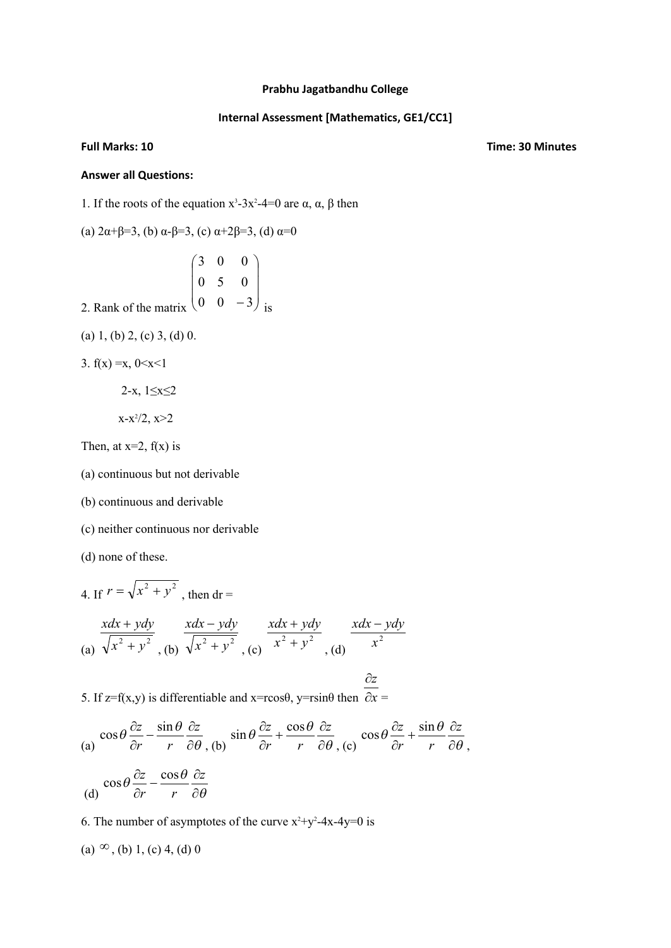## **Prabhu Jagatbandhu College**

## **Internal Assessment [Mathematics, GE1/CC1]**

**Full Marks: 10 Time: 30 Minutes**

## **Answer all Questions:**

1. If the roots of the equation  $x^3-3x^2-4=0$  are α, α, β then

(a) 
$$
2\alpha+\beta=3
$$
, (b)  $\alpha-\beta=3$ , (c)  $\alpha+2\beta=3$ , (d)  $\alpha=0$ 

2. Rank of the matrix 
$$
\begin{pmatrix} 3 & 0 & 0 \\ 0 & 5 & 0 \\ 0 & 0 & -3 \end{pmatrix}
$$
 is

(a) 1, (b) 2, (c) 3, (d) 0.

3. 
$$
f(x) = x, 0 < x < 1
$$

$$
2-x, 1 \le x \le 2
$$

$$
x-x^2/2, x>2
$$

Then, at  $x=2$ ,  $f(x)$  is

(a) continuous but not derivable

(b) continuous and derivable

(c) neither continuous nor derivable

(d) none of these.

4. If 
$$
r = \sqrt{x^2 + y^2}
$$
, then  $dr =$   
\n $\frac{xdx + ydy}{\sqrt{x^2 + y^2}}$ , (b)  $\frac{xdx - ydy}{\sqrt{x^2 + y^2}}$ , (c)  $\frac{xdx + ydy}{x^2 + y^2}$ , (d)  $\frac{xdx - ydy}{x^2}$   
\n $\frac{\partial z}{\partial z}$ 

5. If  $z=f(x,y)$  is differentiable and  $x=r\cos\theta$ ,  $y=r\sin\theta$  then  $\partial x =$  $=$   $\frac{1}{2}$   $\frac{1}{2}$   $\frac{1}{2}$   $\frac{1}{2}$   $\frac{1}{2}$   $\frac{1}{2}$   $\frac{1}{2}$   $\frac{1}{2}$   $\frac{1}{2}$   $\frac{1}{2}$   $\frac{1}{2}$   $\frac{1}{2}$   $\frac{1}{2}$   $\frac{1}{2}$   $\frac{1}{2}$   $\frac{1}{2}$   $\frac{1}{2}$   $\frac{1}{2}$   $\frac{1}{2}$   $\frac{1}{2}$   $\frac{1}{2}$   $\frac{1}{2$ 

(a) 
$$
\cos\theta \frac{\partial z}{\partial r} - \frac{\sin\theta}{r} \frac{\partial z}{\partial \theta}
$$
, (b)  $\sin\theta \frac{\partial z}{\partial r} + \frac{\cos\theta}{r} \frac{\partial z}{\partial \theta}$ , (c)  $\cos\theta \frac{\partial z}{\partial r} + \frac{\sin\theta}{r} \frac{\partial z}{\partial \theta}$ ,  
 $\cos\theta \frac{\partial z}{\partial r} - \frac{\cos\theta}{r} \frac{\partial z}{\partial \theta}$ 

(d) 
$$
\cos \theta \frac{\partial z}{\partial r} - \frac{\cos \theta}{r} \frac{\partial z}{\partial \theta}
$$

6. The number of asymptotes of the curve  $x^2+y^2-4x-4y=0$  is

(a)  $\infty$ , (b) 1, (c) 4, (d) 0